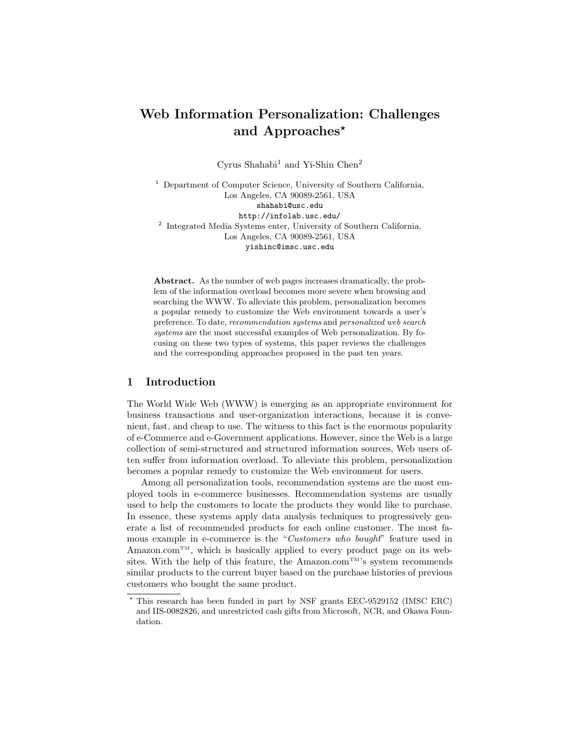# Web Information Personalization: Challenges and Approaches<sup>\*</sup>

Cyrus Shahabi<sup>1</sup> and Yi-Shin Chen<sup>2</sup>

<sup>1</sup> Department of Computer Science, University of Southern California, Los Angeles, CA 90089-2561, USA shahabi@usc.edu http://infolab.usc.edu/ 2 Integrated Media Systems enter, University of Southern California, Los Angeles, CA 90089-2561, USA yishinc@imsc.usc.edu

Abstract. As the number of web pages increases dramatically, the problem of the information overload becomes more severe when browsing and searching the WWW. To alleviate this problem, personalization becomes a popular remedy to customize the Web environment towards a user's preference. To date, recommendation systems and personalized web search systems are the most successful examples of Web personalization. By focusing on these two types of systems, this paper reviews the challenges and the corresponding approaches proposed in the past ten years.

# 1 Introduction

The World Wide Web (WWW) is emerging as an appropriate environment for business transactions and user-organization interactions, because it is convenient, fast, and cheap to use. The witness to this fact is the enormous popularity of e-Commerce and e-Government applications. However, since the Web is a large collection of semi-structured and structured information sources, Web users often suffer from information overload. To alleviate this problem, personalization becomes a popular remedy to customize the Web environment for users.

Among all personalization tools, recommendation systems are the most employed tools in e-commerce businesses. Recommendation systems are usually used to help the customers to locate the products they would like to purchase. In essence, these systems apply data analysis techniques to progressively generate a list of recommended products for each online customer. The most famous example in e-commerce is the "Customers who bought" feature used in Amazon.com<sup>TM</sup>, which is basically applied to every product page on its websites. With the help of this feature, the Amazon.com<sup>TM</sup>'s system recommends similar products to the current buyer based on the purchase histories of previous customers who bought the same product.

<sup>?</sup> This research has been funded in part by NSF grants EEC-9529152 (IMSC ERC) and IIS-0082826, and unrestricted cash gifts from Microsoft, NCR, and Okawa Foundation.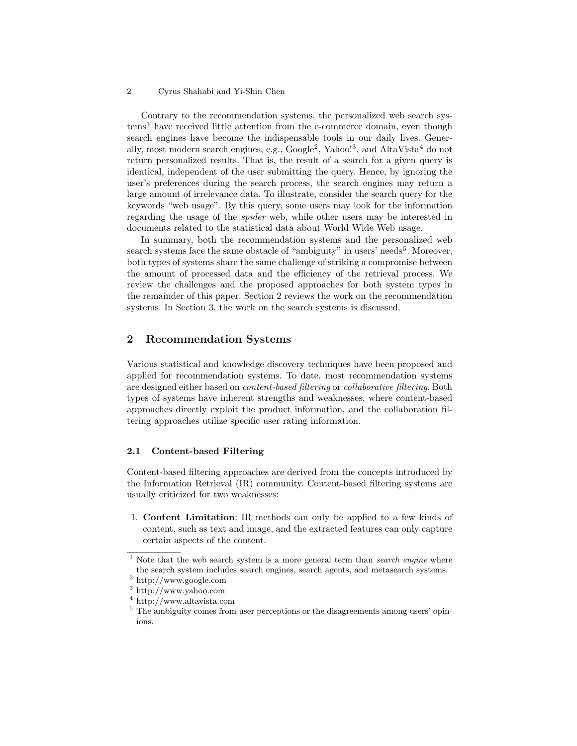#### 2 Cyrus Shahabi and Yi-Shin Chen

Contrary to the recommendation systems, the personalized web search systems<sup>1</sup> have received little attention from the e-commerce domain, even though search engines have become the indispensable tools in our daily lives. Generally, most modern search engines, e.g.,  $Google^2$ ,  $Yahool<sup>3</sup>$ , and  $AltaVista<sup>4</sup>$  do not return personalized results. That is, the result of a search for a given query is identical, independent of the user submitting the query. Hence, by ignoring the user's preferences during the search process, the search engines may return a large amount of irrelevance data. To illustrate, consider the search query for the keywords "web usage". By this query, some users may look for the information regarding the usage of the spider web, while other users may be interested in documents related to the statistical data about World Wide Web usage.

In summary, both the recommendation systems and the personalized web search systems face the same obstacle of "ambiguity" in users' needs<sup>5</sup>. Moreover, both types of systems share the same challenge of striking a compromise between the amount of processed data and the efficiency of the retrieval process. We review the challenges and the proposed approaches for both system types in the remainder of this paper. Section 2 reviews the work on the recommendation systems. In Section 3, the work on the search systems is discussed.

# 2 Recommendation Systems

Various statistical and knowledge discovery techniques have been proposed and applied for recommendation systems. To date, most recommendation systems are designed either based on content-based filtering or collaborative filtering. Both types of systems have inherent strengths and weaknesses, where content-based approaches directly exploit the product information, and the collaboration filtering approaches utilize specific user rating information.

## 2.1 Content-based Filtering

Content-based filtering approaches are derived from the concepts introduced by the Information Retrieval (IR) community. Content-based filtering systems are usually criticized for two weaknesses:

1. Content Limitation: IR methods can only be applied to a few kinds of content, such as text and image, and the extracted features can only capture certain aspects of the content.

 $1$  Note that the web search system is a more general term than search engine where the search system includes search engines, search agents, and metasearch systems.

<sup>2</sup> http://www.google.com

<sup>3</sup> http://www.yahoo.com

<sup>4</sup> http://www.altavista.com

<sup>&</sup>lt;sup>5</sup> The ambiguity comes from user perceptions or the disagreements among users' opinions.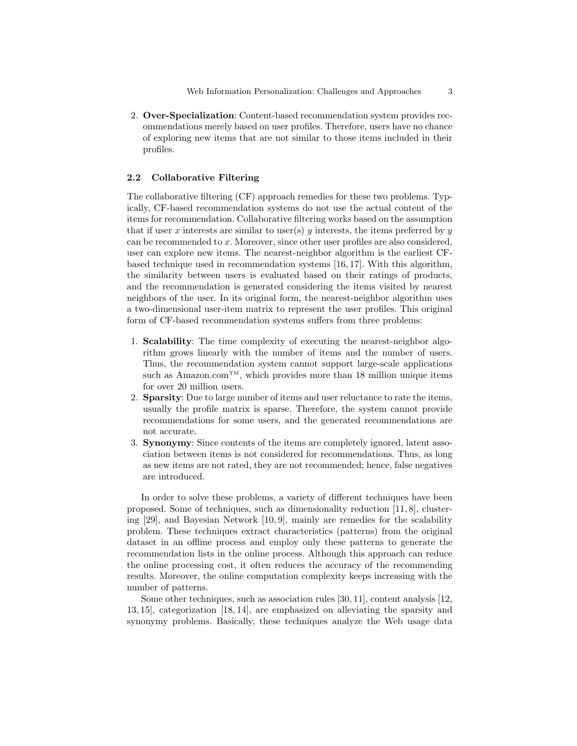2. Over-Specialization: Content-based recommendation system provides recommendations merely based on user profiles. Therefore, users have no chance of exploring new items that are not similar to those items included in their profiles.

#### 2.2 Collaborative Filtering

The collaborative filtering (CF) approach remedies for these two problems. Typically, CF-based recommendation systems do not use the actual content of the items for recommendation. Collaborative filtering works based on the assumption that if user x interests are similar to user(s) y interests, the items preferred by y can be recommended to x. Moreover, since other user profiles are also considered, user can explore new items. The nearest-neighbor algorithm is the earliest CFbased technique used in recommendation systems [16, 17]. With this algorithm, the similarity between users is evaluated based on their ratings of products, and the recommendation is generated considering the items visited by nearest neighbors of the user. In its original form, the nearest-neighbor algorithm uses a two-dimensional user-item matrix to represent the user profiles. This original form of CF-based recommendation systems suffers from three problems:

- 1. Scalability: The time complexity of executing the nearest-neighbor algorithm grows linearly with the number of items and the number of users. Thus, the recommendation system cannot support large-scale applications such as Amazon.com<sup>TM</sup>, which provides more than 18 million unique items for over 20 million users.
- 2. Sparsity: Due to large number of items and user reluctance to rate the items, usually the profile matrix is sparse. Therefore, the system cannot provide recommendations for some users, and the generated recommendations are not accurate.
- 3. Synonymy: Since contents of the items are completely ignored, latent association between items is not considered for recommendations. Thus, as long as new items are not rated, they are not recommended; hence, false negatives are introduced.

In order to solve these problems, a variety of different techniques have been proposed. Some of techniques, such as dimensionality reduction [11, 8], clustering [29], and Bayesian Network [10, 9], mainly are remedies for the scalability problem. These techniques extract characteristics (patterns) from the original dataset in an offline process and employ only these patterns to generate the recommendation lists in the online process. Although this approach can reduce the online processing cost, it often reduces the accuracy of the recommending results. Moreover, the online computation complexity keeps increasing with the number of patterns.

Some other techniques, such as association rules [30, 11], content analysis [12, 13, 15], categorization [18, 14], are emphasized on alleviating the sparsity and synonymy problems. Basically, these techniques analyze the Web usage data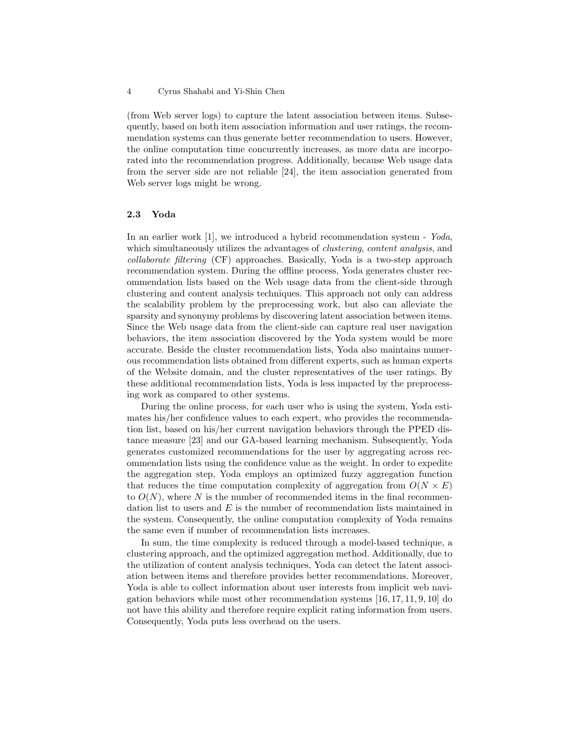(from Web server logs) to capture the latent association between items. Subsequently, based on both item association information and user ratings, the recommendation systems can thus generate better recommendation to users. However, the online computation time concurrently increases, as more data are incorporated into the recommendation progress. Additionally, because Web usage data from the server side are not reliable [24], the item association generated from Web server logs might be wrong.

### 2.3 Yoda

In an earlier work [1], we introduced a hybrid recommendation system - Yoda, which simultaneously utilizes the advantages of *clustering, content analysis*, and collaborate filtering (CF) approaches. Basically, Yoda is a two-step approach recommendation system. During the offline process, Yoda generates cluster recommendation lists based on the Web usage data from the client-side through clustering and content analysis techniques. This approach not only can address the scalability problem by the preprocessing work, but also can alleviate the sparsity and synonymy problems by discovering latent association between items. Since the Web usage data from the client-side can capture real user navigation behaviors, the item association discovered by the Yoda system would be more accurate. Beside the cluster recommendation lists, Yoda also maintains numerous recommendation lists obtained from different experts, such as human experts of the Website domain, and the cluster representatives of the user ratings. By these additional recommendation lists, Yoda is less impacted by the preprocessing work as compared to other systems.

During the online process, for each user who is using the system, Yoda estimates his/her confidence values to each expert, who provides the recommendation list, based on his/her current navigation behaviors through the PPED distance measure [23] and our GA-based learning mechanism. Subsequently, Yoda generates customized recommendations for the user by aggregating across recommendation lists using the confidence value as the weight. In order to expedite the aggregation step, Yoda employs an optimized fuzzy aggregation function that reduces the time computation complexity of aggregation from  $O(N \times E)$ to  $O(N)$ , where N is the number of recommended items in the final recommendation list to users and  $E$  is the number of recommendation lists maintained in the system. Consequently, the online computation complexity of Yoda remains the same even if number of recommendation lists increases.

In sum, the time complexity is reduced through a model-based technique, a clustering approach, and the optimized aggregation method. Additionally, due to the utilization of content analysis techniques, Yoda can detect the latent association between items and therefore provides better recommendations. Moreover, Yoda is able to collect information about user interests from implicit web navigation behaviors while most other recommendation systems [16, 17, 11, 9, 10] do not have this ability and therefore require explicit rating information from users. Consequently, Yoda puts less overhead on the users.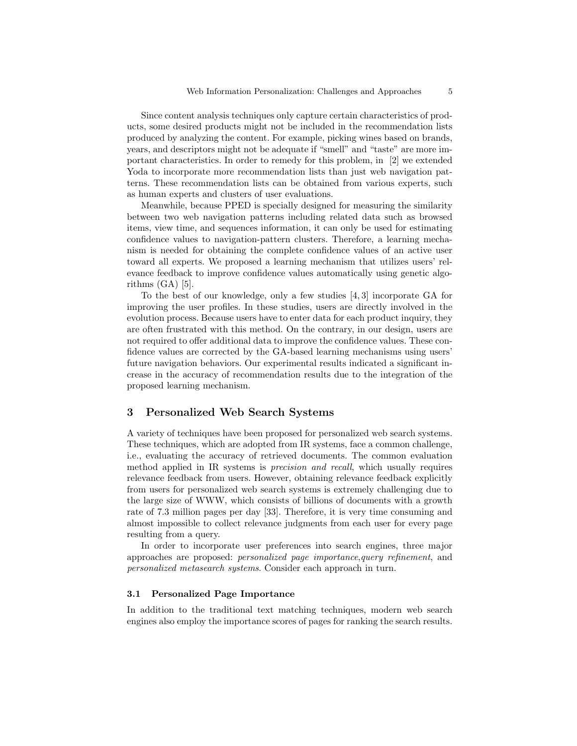Since content analysis techniques only capture certain characteristics of products, some desired products might not be included in the recommendation lists produced by analyzing the content. For example, picking wines based on brands, years, and descriptors might not be adequate if "smell" and "taste" are more important characteristics. In order to remedy for this problem, in [2] we extended Yoda to incorporate more recommendation lists than just web navigation patterns. These recommendation lists can be obtained from various experts, such as human experts and clusters of user evaluations.

Meanwhile, because PPED is specially designed for measuring the similarity between two web navigation patterns including related data such as browsed items, view time, and sequences information, it can only be used for estimating confidence values to navigation-pattern clusters. Therefore, a learning mechanism is needed for obtaining the complete confidence values of an active user toward all experts. We proposed a learning mechanism that utilizes users' relevance feedback to improve confidence values automatically using genetic algorithms (GA) [5].

To the best of our knowledge, only a few studies [4, 3] incorporate GA for improving the user profiles. In these studies, users are directly involved in the evolution process. Because users have to enter data for each product inquiry, they are often frustrated with this method. On the contrary, in our design, users are not required to offer additional data to improve the confidence values. These confidence values are corrected by the GA-based learning mechanisms using users' future navigation behaviors. Our experimental results indicated a significant increase in the accuracy of recommendation results due to the integration of the proposed learning mechanism.

## 3 Personalized Web Search Systems

A variety of techniques have been proposed for personalized web search systems. These techniques, which are adopted from IR systems, face a common challenge, i.e., evaluating the accuracy of retrieved documents. The common evaluation method applied in IR systems is precision and recall, which usually requires relevance feedback from users. However, obtaining relevance feedback explicitly from users for personalized web search systems is extremely challenging due to the large size of WWW, which consists of billions of documents with a growth rate of 7.3 million pages per day [33]. Therefore, it is very time consuming and almost impossible to collect relevance judgments from each user for every page resulting from a query.

In order to incorporate user preferences into search engines, three major approaches are proposed: personalized page importance,query refinement, and personalized metasearch systems. Consider each approach in turn.

#### 3.1 Personalized Page Importance

In addition to the traditional text matching techniques, modern web search engines also employ the importance scores of pages for ranking the search results.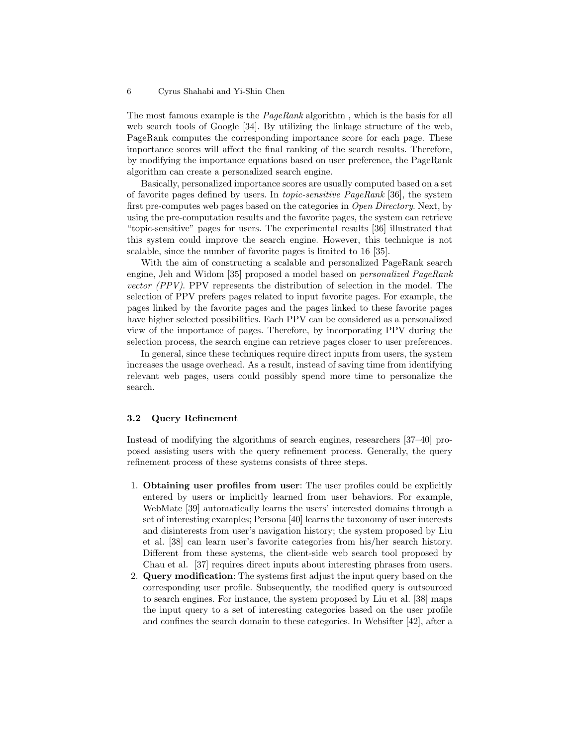#### 6 Cyrus Shahabi and Yi-Shin Chen

The most famous example is the *PageRank* algorithm, which is the basis for all web search tools of Google [34]. By utilizing the linkage structure of the web, PageRank computes the corresponding importance score for each page. These importance scores will affect the final ranking of the search results. Therefore, by modifying the importance equations based on user preference, the PageRank algorithm can create a personalized search engine.

Basically, personalized importance scores are usually computed based on a set of favorite pages defined by users. In topic-sensitive PageRank [36], the system first pre-computes web pages based on the categories in Open Directory. Next, by using the pre-computation results and the favorite pages, the system can retrieve "topic-sensitive" pages for users. The experimental results [36] illustrated that this system could improve the search engine. However, this technique is not scalable, since the number of favorite pages is limited to 16 [35].

With the aim of constructing a scalable and personalized PageRank search engine, Jeh and Widom [35] proposed a model based on personalized PageRank vector (PPV). PPV represents the distribution of selection in the model. The selection of PPV prefers pages related to input favorite pages. For example, the pages linked by the favorite pages and the pages linked to these favorite pages have higher selected possibilities. Each PPV can be considered as a personalized view of the importance of pages. Therefore, by incorporating PPV during the selection process, the search engine can retrieve pages closer to user preferences.

In general, since these techniques require direct inputs from users, the system increases the usage overhead. As a result, instead of saving time from identifying relevant web pages, users could possibly spend more time to personalize the search.

## 3.2 Query Refinement

Instead of modifying the algorithms of search engines, researchers [37–40] proposed assisting users with the query refinement process. Generally, the query refinement process of these systems consists of three steps.

- 1. Obtaining user profiles from user: The user profiles could be explicitly entered by users or implicitly learned from user behaviors. For example, WebMate [39] automatically learns the users' interested domains through a set of interesting examples; Persona [40] learns the taxonomy of user interests and disinterests from user's navigation history; the system proposed by Liu et al. [38] can learn user's favorite categories from his/her search history. Different from these systems, the client-side web search tool proposed by Chau et al. [37] requires direct inputs about interesting phrases from users.
- 2. Query modification: The systems first adjust the input query based on the corresponding user profile. Subsequently, the modified query is outsourced to search engines. For instance, the system proposed by Liu et al. [38] maps the input query to a set of interesting categories based on the user profile and confines the search domain to these categories. In Websifter [42], after a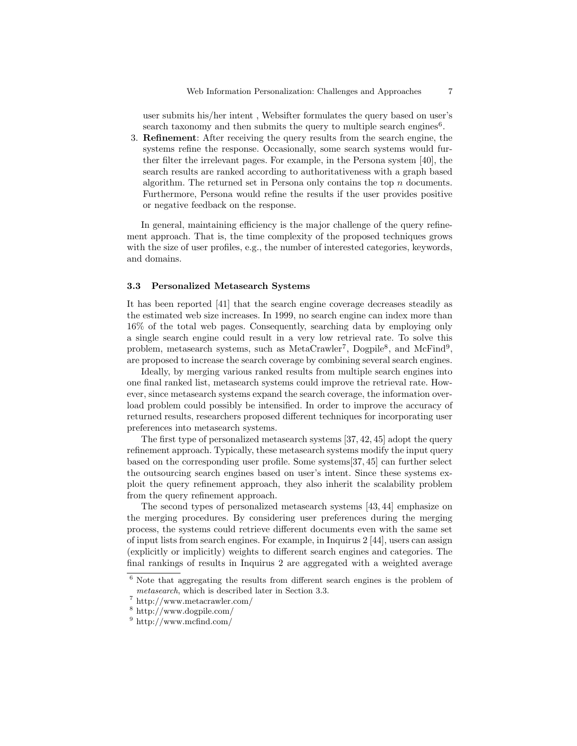user submits his/her intent , Websifter formulates the query based on user's search taxonomy and then submits the query to multiple search engines<sup>6</sup>.

3. Refinement: After receiving the query results from the search engine, the systems refine the response. Occasionally, some search systems would further filter the irrelevant pages. For example, in the Persona system [40], the search results are ranked according to authoritativeness with a graph based algorithm. The returned set in Persona only contains the top n documents. Furthermore, Persona would refine the results if the user provides positive or negative feedback on the response.

In general, maintaining efficiency is the major challenge of the query refinement approach. That is, the time complexity of the proposed techniques grows with the size of user profiles, e.g., the number of interested categories, keywords, and domains.

## 3.3 Personalized Metasearch Systems

It has been reported [41] that the search engine coverage decreases steadily as the estimated web size increases. In 1999, no search engine can index more than 16% of the total web pages. Consequently, searching data by employing only a single search engine could result in a very low retrieval rate. To solve this problem, metasearch systems, such as MetaCrawler<sup>7</sup>, Dogpile<sup>8</sup>, and McFind<sup>9</sup>, are proposed to increase the search coverage by combining several search engines.

Ideally, by merging various ranked results from multiple search engines into one final ranked list, metasearch systems could improve the retrieval rate. However, since metasearch systems expand the search coverage, the information overload problem could possibly be intensified. In order to improve the accuracy of returned results, researchers proposed different techniques for incorporating user preferences into metasearch systems.

The first type of personalized metasearch systems [37, 42, 45] adopt the query refinement approach. Typically, these metasearch systems modify the input query based on the corresponding user profile. Some systems[37, 45] can further select the outsourcing search engines based on user's intent. Since these systems exploit the query refinement approach, they also inherit the scalability problem from the query refinement approach.

The second types of personalized metasearch systems [43, 44] emphasize on the merging procedures. By considering user preferences during the merging process, the systems could retrieve different documents even with the same set of input lists from search engines. For example, in Inquirus 2 [44], users can assign (explicitly or implicitly) weights to different search engines and categories. The final rankings of results in Inquirus 2 are aggregated with a weighted average

<sup>6</sup> Note that aggregating the results from different search engines is the problem of metasearch, which is described later in Section 3.3.

 $^7$ http://www.metacrawler.com/

<sup>8</sup> http://www.dogpile.com/

 $9 \text{ http://www.mcfind.com/}$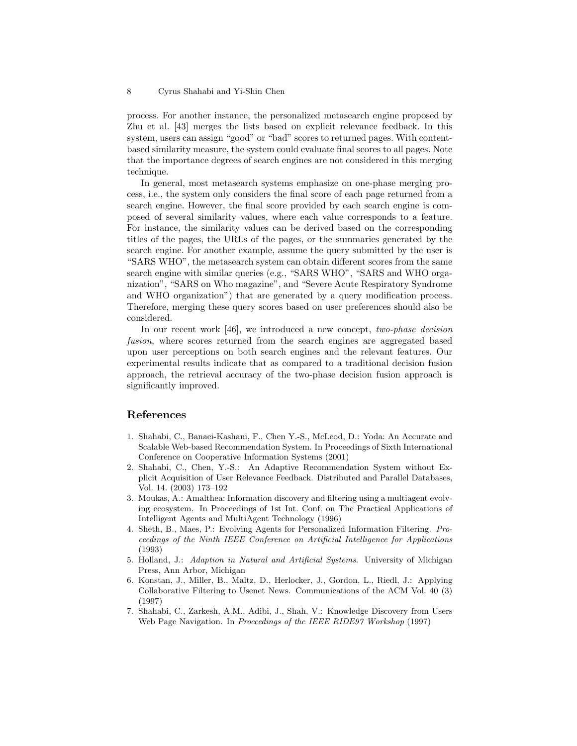#### 8 Cyrus Shahabi and Yi-Shin Chen

process. For another instance, the personalized metasearch engine proposed by Zhu et al. [43] merges the lists based on explicit relevance feedback. In this system, users can assign "good" or "bad" scores to returned pages. With contentbased similarity measure, the system could evaluate final scores to all pages. Note that the importance degrees of search engines are not considered in this merging technique.

In general, most metasearch systems emphasize on one-phase merging process, i.e., the system only considers the final score of each page returned from a search engine. However, the final score provided by each search engine is composed of several similarity values, where each value corresponds to a feature. For instance, the similarity values can be derived based on the corresponding titles of the pages, the URLs of the pages, or the summaries generated by the search engine. For another example, assume the query submitted by the user is "SARS WHO", the metasearch system can obtain different scores from the same search engine with similar queries (e.g., "SARS WHO", "SARS and WHO organization", "SARS on Who magazine", and "Severe Acute Respiratory Syndrome and WHO organization") that are generated by a query modification process. Therefore, merging these query scores based on user preferences should also be considered.

In our recent work [46], we introduced a new concept, two-phase decision fusion, where scores returned from the search engines are aggregated based upon user perceptions on both search engines and the relevant features. Our experimental results indicate that as compared to a traditional decision fusion approach, the retrieval accuracy of the two-phase decision fusion approach is significantly improved.

# References

- 1. Shahabi, C., Banaei-Kashani, F., Chen Y.-S., McLeod, D.: Yoda: An Accurate and Scalable Web-based Recommendation System. In Proceedings of Sixth International Conference on Cooperative Information Systems (2001)
- 2. Shahabi, C., Chen, Y.-S.: An Adaptive Recommendation System without Explicit Acquisition of User Relevance Feedback. Distributed and Parallel Databases, Vol. 14. (2003) 173–192
- 3. Moukas, A.: Amalthea: Information discovery and filtering using a multiagent evolving ecosystem. In Proceedings of 1st Int. Conf. on The Practical Applications of Intelligent Agents and MultiAgent Technology (1996)
- 4. Sheth, B., Maes, P.: Evolving Agents for Personalized Information Filtering. Proceedings of the Ninth IEEE Conference on Artificial Intelligence for Applications (1993)
- 5. Holland, J.: Adaption in Natural and Artificial Systems. University of Michigan Press, Ann Arbor, Michigan
- 6. Konstan, J., Miller, B., Maltz, D., Herlocker, J., Gordon, L., Riedl, J.: Applying Collaborative Filtering to Usenet News. Communications of the ACM Vol. 40 (3) (1997)
- 7. Shahabi, C., Zarkesh, A.M., Adibi, J., Shah, V.: Knowledge Discovery from Users Web Page Navigation. In Proceedings of the IEEE RIDE97 Workshop (1997)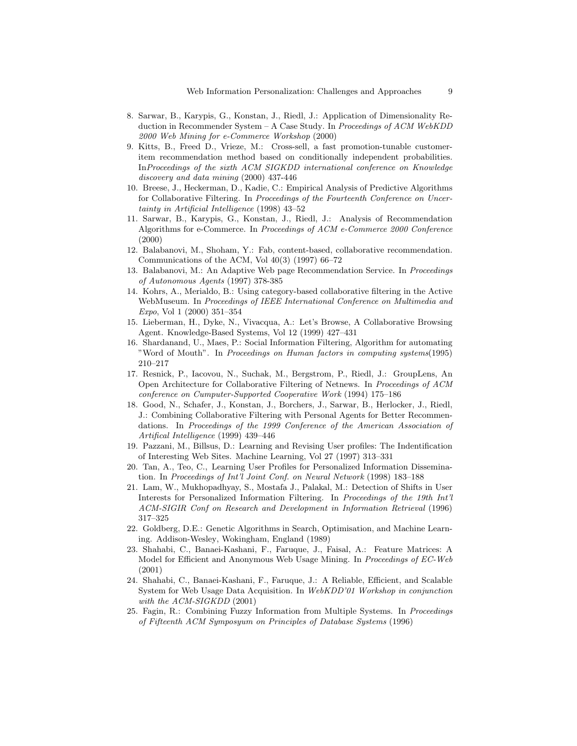- 8. Sarwar, B., Karypis, G., Konstan, J., Riedl, J.: Application of Dimensionality Reduction in Recommender System – A Case Study. In Proceedings of ACM WebKDD 2000 Web Mining for e-Commerce Workshop (2000)
- 9. Kitts, B., Freed D., Vrieze, M.: Cross-sell, a fast promotion-tunable customeritem recommendation method based on conditionally independent probabilities. InProceedings of the sixth ACM SIGKDD international conference on Knowledge discovery and data mining (2000) 437-446
- 10. Breese, J., Heckerman, D., Kadie, C.: Empirical Analysis of Predictive Algorithms for Collaborative Filtering. In Proceedings of the Fourteenth Conference on Uncertainty in Artificial Intelligence (1998) 43–52
- 11. Sarwar, B., Karypis, G., Konstan, J., Riedl, J.: Analysis of Recommendation Algorithms for e-Commerce. In Proceedings of ACM e-Commerce 2000 Conference (2000)
- 12. Balabanovi, M., Shoham, Y.: Fab, content-based, collaborative recommendation. Communications of the ACM, Vol  $40(3)$  (1997) 66–72
- 13. Balabanovi, M.: An Adaptive Web page Recommendation Service. In Proceedings of Autonomous Agents (1997) 378-385
- 14. Kohrs, A., Merialdo, B.: Using category-based collaborative filtering in the Active WebMuseum. In Proceedings of IEEE International Conference on Multimedia and Expo, Vol 1 (2000) 351–354
- 15. Lieberman, H., Dyke, N., Vivacqua, A.: Let's Browse, A Collaborative Browsing Agent. Knowledge-Based Systems, Vol 12 (1999) 427–431
- 16. Shardanand, U., Maes, P.: Social Information Filtering, Algorithm for automating "Word of Mouth". In Proceedings on Human factors in computing systems(1995) 210–217
- 17. Resnick, P., Iacovou, N., Suchak, M., Bergstrom, P., Riedl, J.: GroupLens, An Open Architecture for Collaborative Filtering of Netnews. In Proceedings of ACM conference on Cumputer-Supported Cooperative Work (1994) 175–186
- 18. Good, N., Schafer, J., Konstan, J., Borchers, J., Sarwar, B., Herlocker, J., Riedl, J.: Combining Collaborative Filtering with Personal Agents for Better Recommendations. In Proceedings of the 1999 Conference of the American Association of Artifical Intelligence (1999) 439–446
- 19. Pazzani, M., Billsus, D.: Learning and Revising User profiles: The Indentification of Interesting Web Sites. Machine Learning, Vol 27 (1997) 313–331
- 20. Tan, A., Teo, C., Learning User Profiles for Personalized Information Dissemination. In Proceedings of Int'l Joint Conf. on Neural Network (1998) 183–188
- 21. Lam, W., Mukhopadhyay, S., Mostafa J., Palakal, M.: Detection of Shifts in User Interests for Personalized Information Filtering. In Proceedings of the 19th Int'l ACM-SIGIR Conf on Research and Development in Information Retrieval (1996) 317–325
- 22. Goldberg, D.E.: Genetic Algorithms in Search, Optimisation, and Machine Learning. Addison-Wesley, Wokingham, England (1989)
- 23. Shahabi, C., Banaei-Kashani, F., Faruque, J., Faisal, A.: Feature Matrices: A Model for Efficient and Anonymous Web Usage Mining. In Proceedings of EC-Web (2001)
- 24. Shahabi, C., Banaei-Kashani, F., Faruque, J.: A Reliable, Efficient, and Scalable System for Web Usage Data Acquisition. In WebKDD'01 Workshop in conjunction with the ACM-SIGKDD (2001)
- 25. Fagin, R.: Combining Fuzzy Information from Multiple Systems. In Proceedings of Fifteenth ACM Symposyum on Principles of Database Systems (1996)